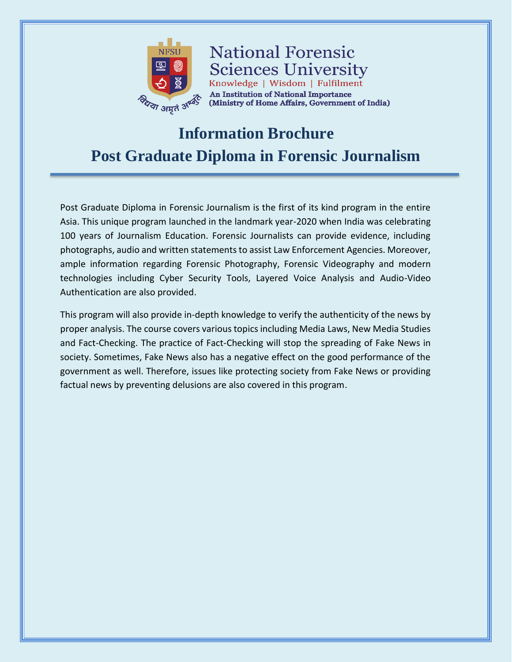

**National Forensic Sciences University** Knowledge | Wisdom | Fulfilment An Institution of National Importance (Ministry of Home Affairs, Government of India)

# **Information Brochure Post Graduate Diploma in Forensic Journalism**

Post Graduate Diploma in Forensic Journalism is the first of its kind program in the entire Asia. This unique program launched in the landmark year-2020 when India was celebrating 100 years of Journalism Education. Forensic Journalists can provide evidence, including photographs, audio and written statements to assist Law Enforcement Agencies. Moreover, ample information regarding Forensic Photography, Forensic Videography and modern technologies including Cyber Security Tools, Layered Voice Analysis and Audio-Video Authentication are also provided.

This program will also provide in-depth knowledge to verify the authenticity of the news by proper analysis. The course covers various topics including Media Laws, New Media Studies and Fact-Checking. The practice of Fact-Checking will stop the spreading of Fake News in society. Sometimes, Fake News also has a negative effect on the good performance of the government as well. Therefore, issues like protecting society from Fake News or providing factual news by preventing delusions are also covered in this program.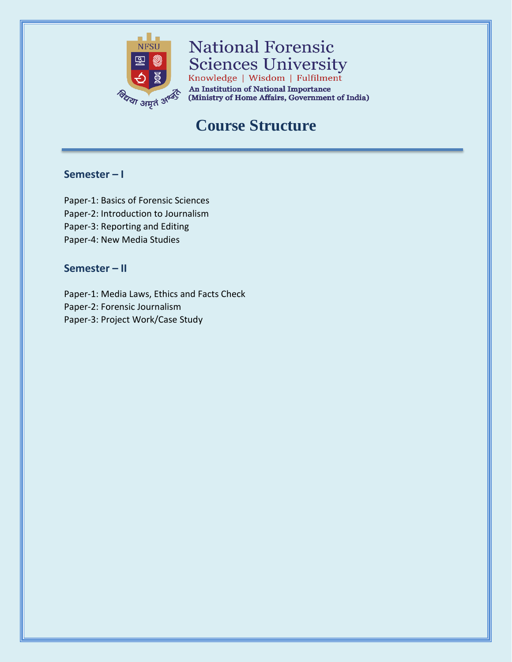

**National Forensic Sciences University** Knowledge | Wisdom | Fulfilment

**An Institution of National Importance** (Ministry of Home Affairs, Government of India)

## **Course Structure**

### **Semester – I**

Paper-1: Basics of Forensic Sciences Paper-2: Introduction to Journalism Paper-3: Reporting and Editing Paper-4: New Media Studies

### **Semester – II**

Paper-1: Media Laws, Ethics and Facts Check Paper-2: Forensic Journalism Paper-3: Project Work/Case Study